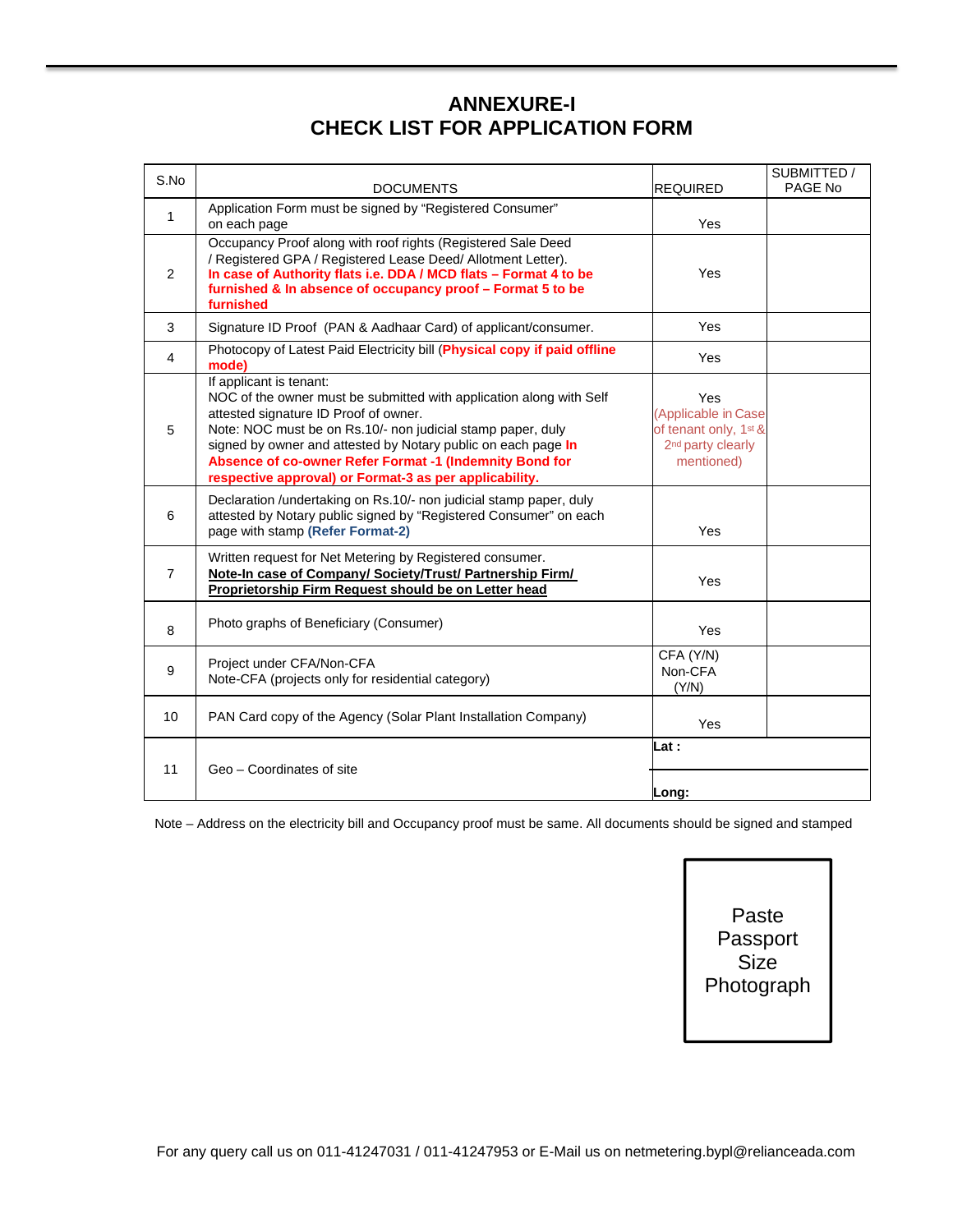# **ANNEXURE-I CHECK LIST FOR APPLICATION FORM**

| S.No         | <b>DOCUMENTS</b>                                                                                                                                                                                                                                                                                                                                                                             | <b>REQUIRED</b>                                                                                                    | SUBMITTED /<br>PAGE No |
|--------------|----------------------------------------------------------------------------------------------------------------------------------------------------------------------------------------------------------------------------------------------------------------------------------------------------------------------------------------------------------------------------------------------|--------------------------------------------------------------------------------------------------------------------|------------------------|
| $\mathbf{1}$ | Application Form must be signed by "Registered Consumer"<br>on each page                                                                                                                                                                                                                                                                                                                     | Yes                                                                                                                |                        |
| 2            | Occupancy Proof along with roof rights (Registered Sale Deed<br>/ Registered GPA / Registered Lease Deed/ Allotment Letter).<br>In case of Authority flats i.e. DDA / MCD flats - Format 4 to be<br>furnished & In absence of occupancy proof - Format 5 to be<br>furnished                                                                                                                  | Yes                                                                                                                |                        |
| 3            | Signature ID Proof (PAN & Aadhaar Card) of applicant/consumer.                                                                                                                                                                                                                                                                                                                               | Yes                                                                                                                |                        |
| 4            | Photocopy of Latest Paid Electricity bill (Physical copy if paid offline<br>mode)                                                                                                                                                                                                                                                                                                            | Yes                                                                                                                |                        |
| 5            | If applicant is tenant:<br>NOC of the owner must be submitted with application along with Self<br>attested signature ID Proof of owner.<br>Note: NOC must be on Rs.10/- non judicial stamp paper, duly<br>signed by owner and attested by Notary public on each page In<br>Absence of co-owner Refer Format -1 (Indemnity Bond for<br>respective approval) or Format-3 as per applicability. | Yes<br>(Applicable in Case<br>of tenant only, 1 <sup>st &amp;</sup><br>2 <sup>nd</sup> party clearly<br>mentioned) |                        |
| 6            | Declaration / undertaking on Rs.10/- non judicial stamp paper, duly<br>attested by Notary public signed by "Registered Consumer" on each<br>page with stamp (Refer Format-2)                                                                                                                                                                                                                 | Yes                                                                                                                |                        |
| 7            | Written request for Net Metering by Registered consumer.<br>Note-In case of Company/ Society/Trust/ Partnership Firm/<br>Proprietorship Firm Request should be on Letter head                                                                                                                                                                                                                | Yes                                                                                                                |                        |
| 8            | Photo graphs of Beneficiary (Consumer)                                                                                                                                                                                                                                                                                                                                                       | Yes                                                                                                                |                        |
| 9            | Project under CFA/Non-CFA<br>Note-CFA (projects only for residential category)                                                                                                                                                                                                                                                                                                               | CFA (Y/N)<br>Non-CFA<br>(Y/N)                                                                                      |                        |
| 10           | PAN Card copy of the Agency (Solar Plant Installation Company)                                                                                                                                                                                                                                                                                                                               | Yes                                                                                                                |                        |
| 11           | Geo - Coordinates of site                                                                                                                                                                                                                                                                                                                                                                    | Lat :<br>Long:                                                                                                     |                        |

Note – Address on the electricity bill and Occupancy proof must be same. All documents should be signed and stamped

Paste Passport **Size** Photograph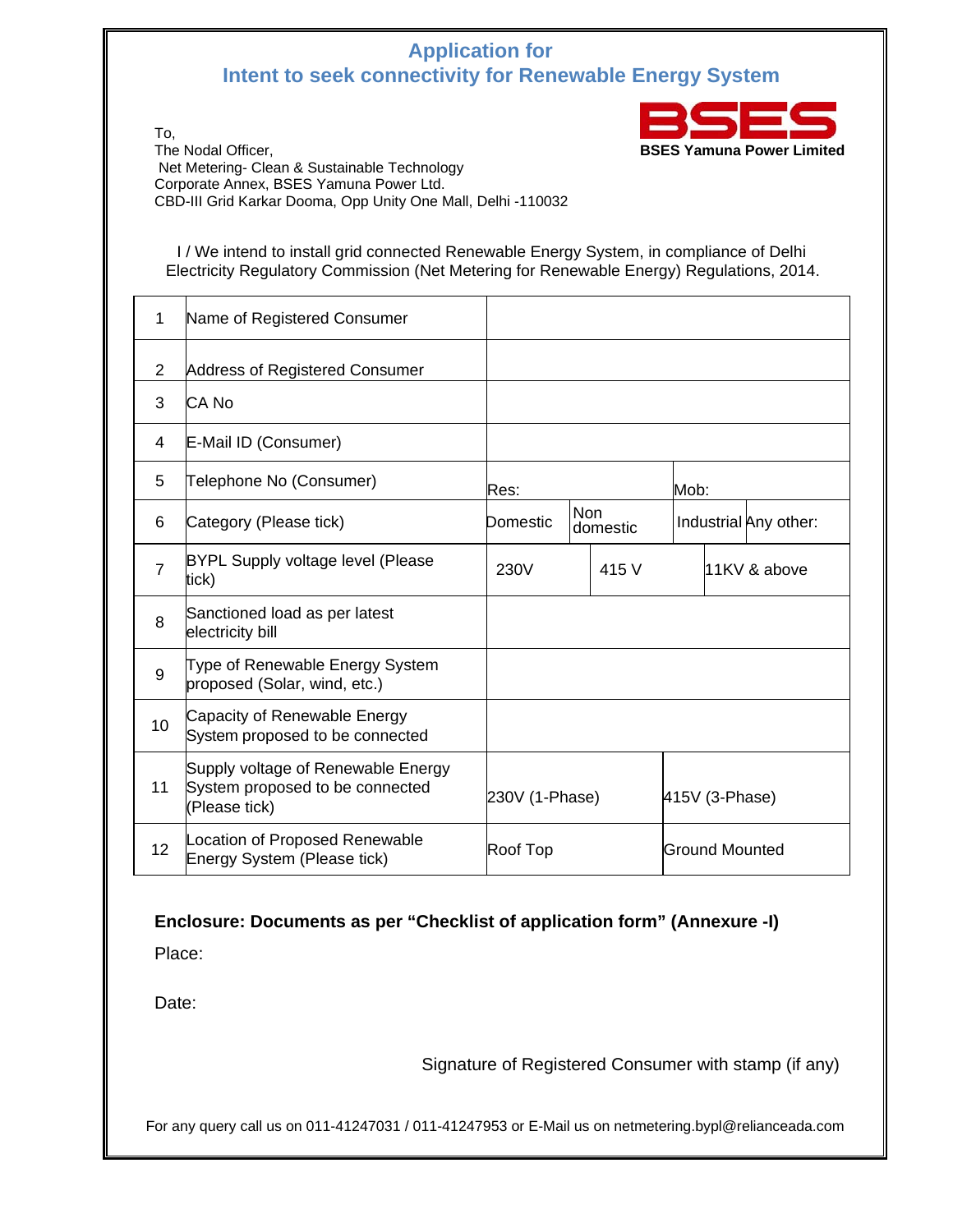## **Application for Intent to seek connectivity for Renewable Energy System**



To, The Nodal Officer, **BSES Yamuna Power Limited**  Net Metering- Clean & Sustainable Technology Corporate Annex, BSES Yamuna Power Ltd. CBD-III Grid Karkar Dooma, Opp Unity One Mall, Delhi -110032

I / We intend to install grid connected Renewable Energy System, in compliance of Delhi Electricity Regulatory Commission (Net Metering for Renewable Energy) Regulations, 2014.

| 1              | Name of Registered Consumer                                                            |                |  |                        |  |                       |  |
|----------------|----------------------------------------------------------------------------------------|----------------|--|------------------------|--|-----------------------|--|
| $\overline{2}$ | Address of Registered Consumer                                                         |                |  |                        |  |                       |  |
| 3              | CA No                                                                                  |                |  |                        |  |                       |  |
| 4              | E-Mail ID (Consumer)                                                                   |                |  |                        |  |                       |  |
| 5              | Telephone No (Consumer)                                                                | Res:           |  |                        |  | Mob:                  |  |
| 6              | Category (Please tick)                                                                 | Domestic       |  | <b>Non</b><br>domestic |  | Industrial Any other: |  |
| $\overline{7}$ | <b>BYPL Supply voltage level (Please</b><br>tick)                                      | 230V<br>415 V  |  |                        |  | 11KV & above          |  |
| 8              | Sanctioned load as per latest<br>electricity bill                                      |                |  |                        |  |                       |  |
| 9              | Type of Renewable Energy System<br>proposed (Solar, wind, etc.)                        |                |  |                        |  |                       |  |
| 10             | Capacity of Renewable Energy<br>System proposed to be connected                        |                |  |                        |  |                       |  |
| 11             | Supply voltage of Renewable Energy<br>System proposed to be connected<br>(Please tick) | 230V (1-Phase) |  | 415V (3-Phase)         |  |                       |  |
| 12             | Location of Proposed Renewable<br>Energy System (Please tick)                          | Roof Top       |  | Ground Mounted         |  |                       |  |

#### **Enclosure: Documents as per "Checklist of application form" (Annexure -I)**

Place:

Date:

Signature of Registered Consumer with stamp (if any)

For any query call us on 011-41247031 / 011-41247953 or E-Mail us on netmetering.bypl@relianceada.com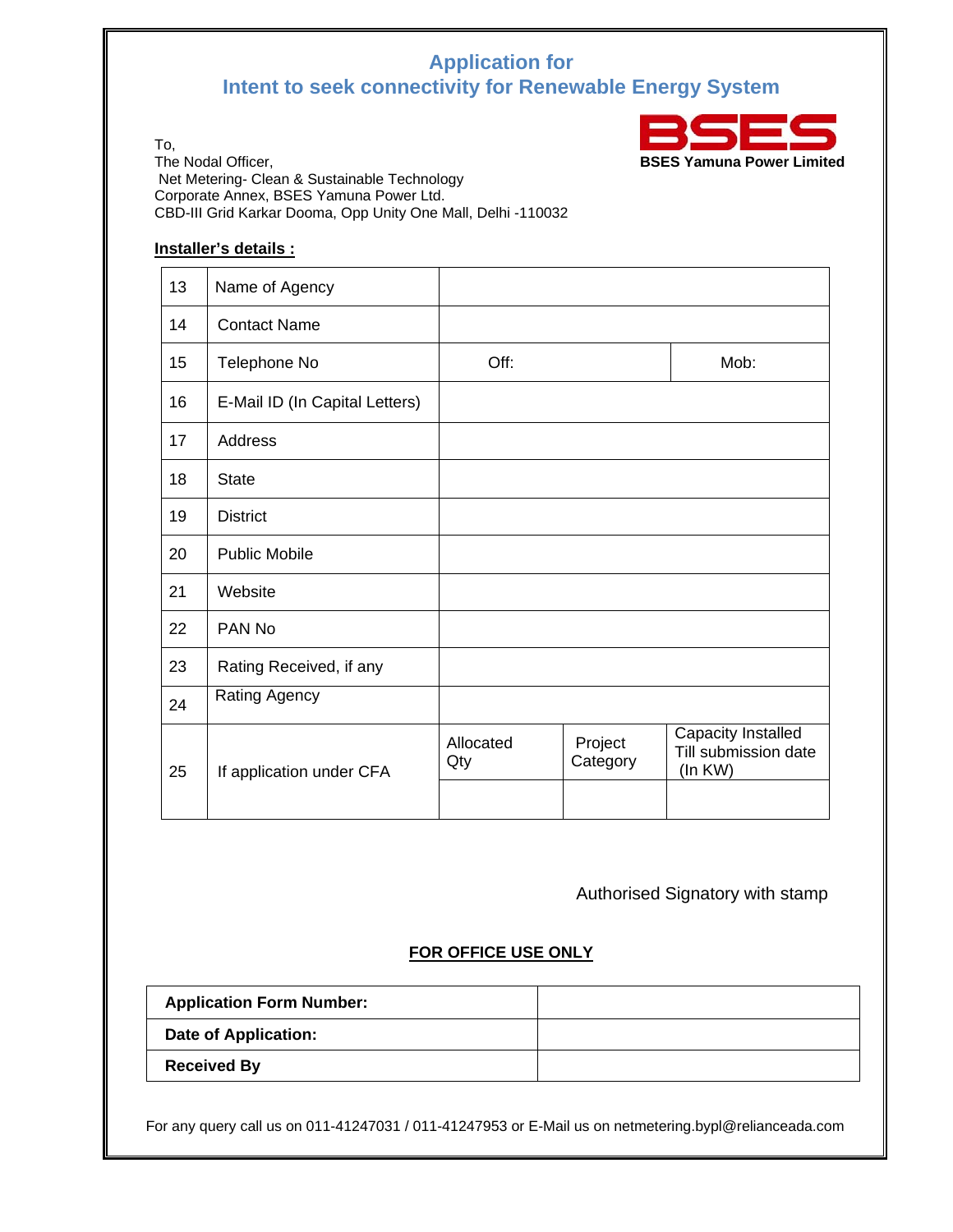# **Application for Intent to seek connectivity for Renewable Energy System**



To,<br>The Nodal Officer, Net Metering- Clean & Sustainable Technology Corporate Annex, BSES Yamuna Power Ltd. CBD-III Grid Karkar Dooma, Opp Unity One Mall, Delhi -110032

#### **Installer's details :**

| 13 | Name of Agency                 |                  |                     |                                                       |
|----|--------------------------------|------------------|---------------------|-------------------------------------------------------|
| 14 | <b>Contact Name</b>            |                  |                     |                                                       |
| 15 | Telephone No                   | Off:             |                     | Mob:                                                  |
| 16 | E-Mail ID (In Capital Letters) |                  |                     |                                                       |
| 17 | Address                        |                  |                     |                                                       |
| 18 | <b>State</b>                   |                  |                     |                                                       |
| 19 | <b>District</b>                |                  |                     |                                                       |
| 20 | <b>Public Mobile</b>           |                  |                     |                                                       |
| 21 | Website                        |                  |                     |                                                       |
| 22 | PAN No                         |                  |                     |                                                       |
| 23 | Rating Received, if any        |                  |                     |                                                       |
| 24 | <b>Rating Agency</b>           |                  |                     |                                                       |
| 25 | If application under CFA       | Allocated<br>Qty | Project<br>Category | Capacity Installed<br>Till submission date<br>(In KW) |

## Authorised Signatory with stamp

#### **FOR OFFICE USE ONLY**

| <b>Application Form Number:</b> |  |
|---------------------------------|--|
| <b>Date of Application:</b>     |  |
| <b>Received By</b>              |  |

For any query call us on 011-41247031 / 011-41247953 or E-Mail us on netmetering.bypl@relianceada.com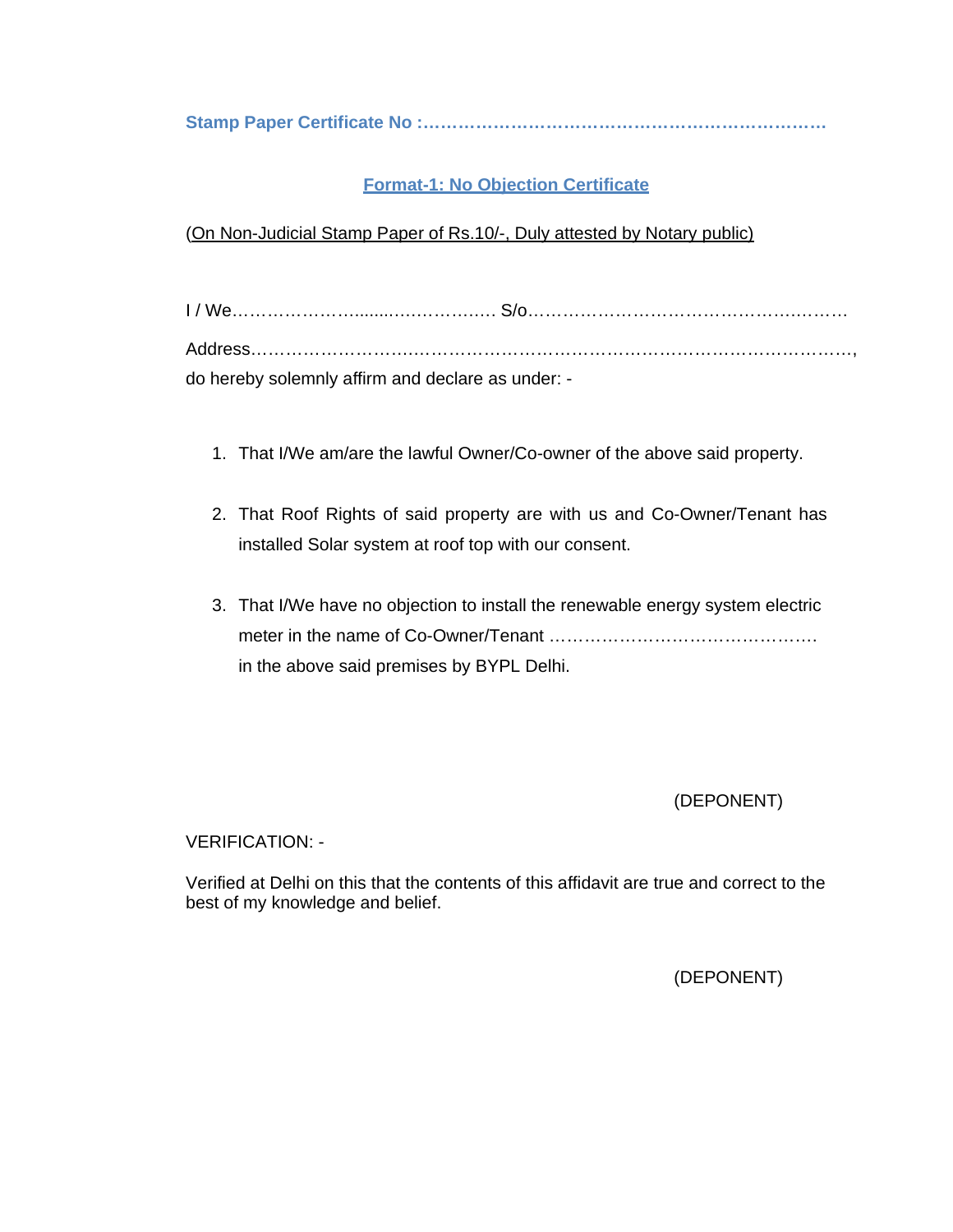**Stamp Paper Certificate No :……………………………………………………………** 

## **Format-1: No Objection Certificate**

(On Non-Judicial Stamp Paper of Rs.10/-, Duly attested by Notary public)

| do hereby solemnly affirm and declare as under: - |  |
|---------------------------------------------------|--|

- 1. That I/We am/are the lawful Owner/Co-owner of the above said property.
- 2. That Roof Rights of said property are with us and Co-Owner/Tenant has installed Solar system at roof top with our consent.
- 3. That I/We have no objection to install the renewable energy system electric meter in the name of Co-Owner/Tenant ………………………………………. in the above said premises by BYPL Delhi.

(DEPONENT)

VERIFICATION: -

Verified at Delhi on this that the contents of this affidavit are true and correct to the best of my knowledge and belief.

(DEPONENT)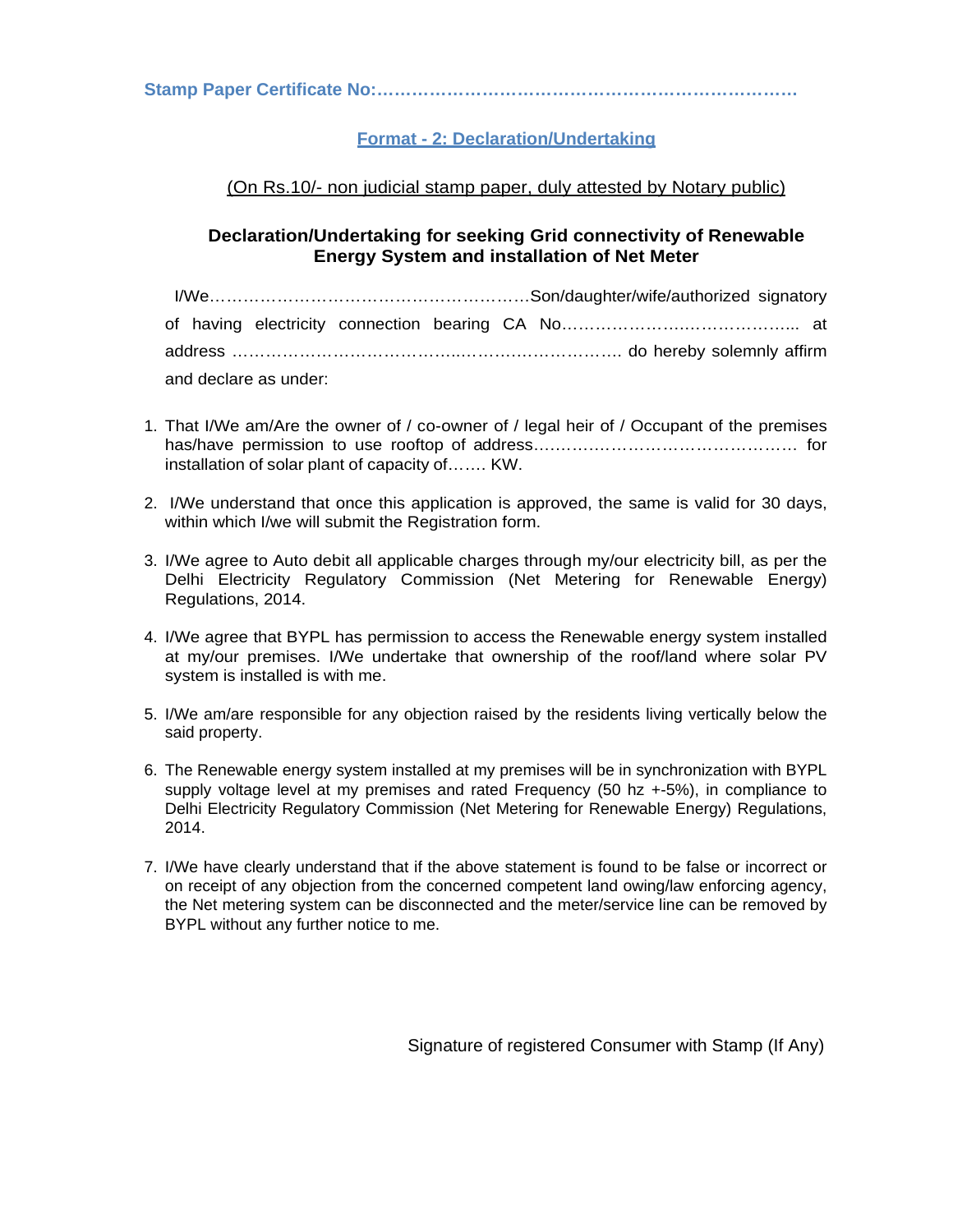**Stamp Paper Certificate No:………………………………………………………………** 

#### **Format - 2: Declaration/Undertaking**

#### (On Rs.10/- non judicial stamp paper, duly attested by Notary public)

#### **Declaration/Undertaking for seeking Grid connectivity of Renewable Energy System and installation of Net Meter**

| and declare as under: |  |
|-----------------------|--|

- 1. That I/We am/Are the owner of / co-owner of / legal heir of / Occupant of the premises has/have permission to use rooftop of address….…….……………………………… for installation of solar plant of capacity of……. KW.
- 2. I/We understand that once this application is approved, the same is valid for 30 days, within which I/we will submit the Registration form.
- 3. I/We agree to Auto debit all applicable charges through my/our electricity bill, as per the Delhi Electricity Regulatory Commission (Net Metering for Renewable Energy) Regulations, 2014.
- 4. I/We agree that BYPL has permission to access the Renewable energy system installed at my/our premises. I/We undertake that ownership of the roof/land where solar PV system is installed is with me.
- 5. I/We am/are responsible for any objection raised by the residents living vertically below the said property.
- 6. The Renewable energy system installed at my premises will be in synchronization with BYPL supply voltage level at my premises and rated Frequency (50 hz +-5%), in compliance to Delhi Electricity Regulatory Commission (Net Metering for Renewable Energy) Regulations, 2014.
- 7. I/We have clearly understand that if the above statement is found to be false or incorrect or on receipt of any objection from the concerned competent land owing/law enforcing agency, the Net metering system can be disconnected and the meter/service line can be removed by BYPL without any further notice to me.

Signature of registered Consumer with Stamp (If Any)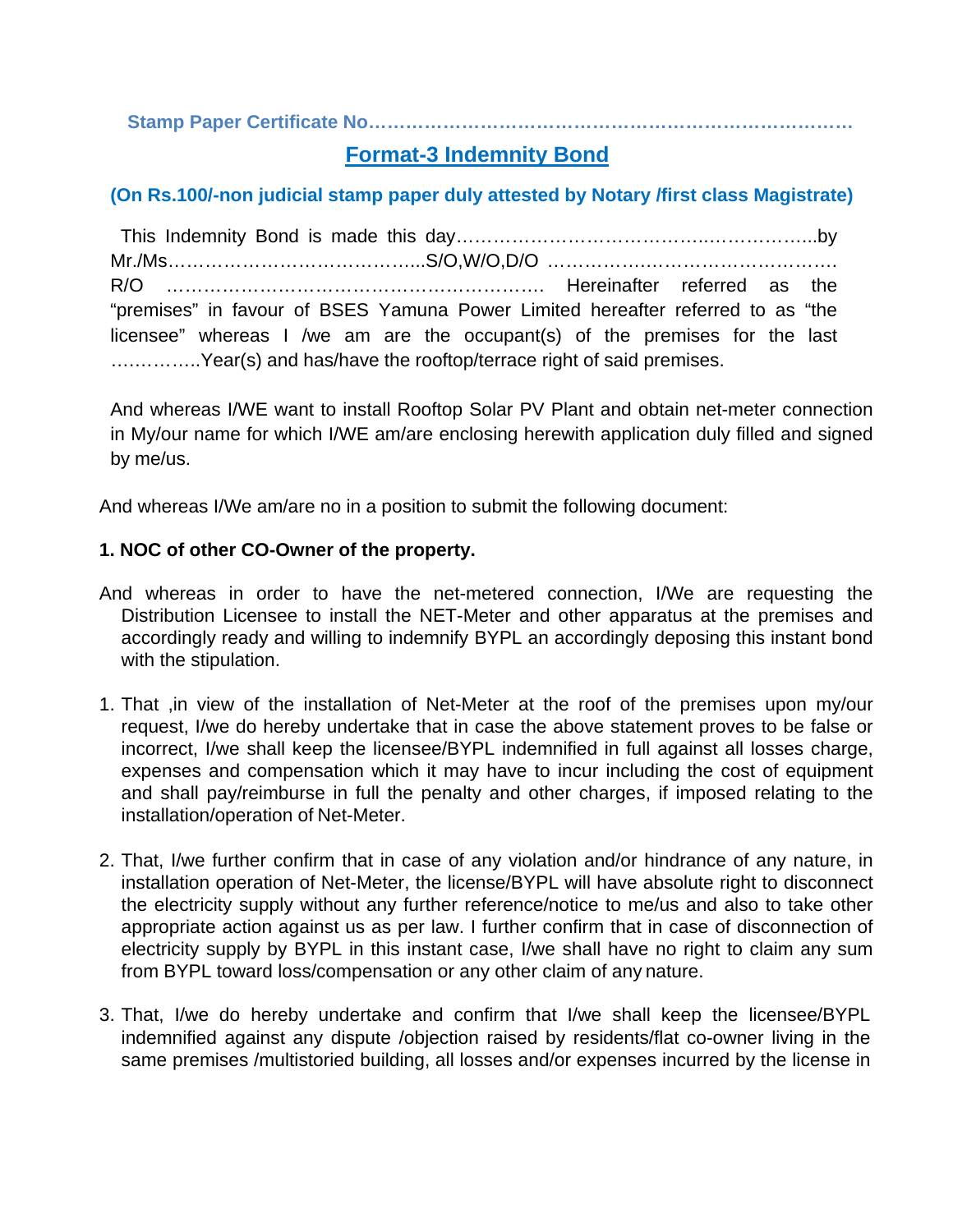## **Stamp Paper Certificate No……………………………………………………………………**

## **Format-3 Indemnity Bond**

## **(On Rs.100/-non judicial stamp paper duly attested by Notary /first class Magistrate)**

 This Indemnity Bond is made this day…………………………………..……………...by Mr./Ms…………………………………...S/O,W/O,D/O …………….…………………………. R/O ……………………………………………………. Hereinafter referred as the "premises" in favour of BSES Yamuna Power Limited hereafter referred to as "the licensee" whereas I /we am are the occupant(s) of the premises for the last ...............Year(s) and has/have the rooftop/terrace right of said premises.

And whereas I/WE want to install Rooftop Solar PV Plant and obtain net-meter connection in My/our name for which I/WE am/are enclosing herewith application duly filled and signed by me/us.

And whereas I/We am/are no in a position to submit the following document:

#### **1. NOC of other CO-Owner of the property.**

- And whereas in order to have the net-metered connection, I/We are requesting the Distribution Licensee to install the NET-Meter and other apparatus at the premises and accordingly ready and willing to indemnify BYPL an accordingly deposing this instant bond with the stipulation.
- 1. That ,in view of the installation of Net-Meter at the roof of the premises upon my/our request, I/we do hereby undertake that in case the above statement proves to be false or incorrect, I/we shall keep the licensee/BYPL indemnified in full against all losses charge, expenses and compensation which it may have to incur including the cost of equipment and shall pay/reimburse in full the penalty and other charges, if imposed relating to the installation/operation of Net-Meter.
- 2. That, I/we further confirm that in case of any violation and/or hindrance of any nature, in installation operation of Net-Meter, the license/BYPL will have absolute right to disconnect the electricity supply without any further reference/notice to me/us and also to take other appropriate action against us as per law. I further confirm that in case of disconnection of electricity supply by BYPL in this instant case, I/we shall have no right to claim any sum from BYPL toward loss/compensation or any other claim of any nature.
- 3. That, I/we do hereby undertake and confirm that I/we shall keep the licensee/BYPL indemnified against any dispute /objection raised by residents/flat co-owner living in the same premises /multistoried building, all losses and/or expenses incurred by the license in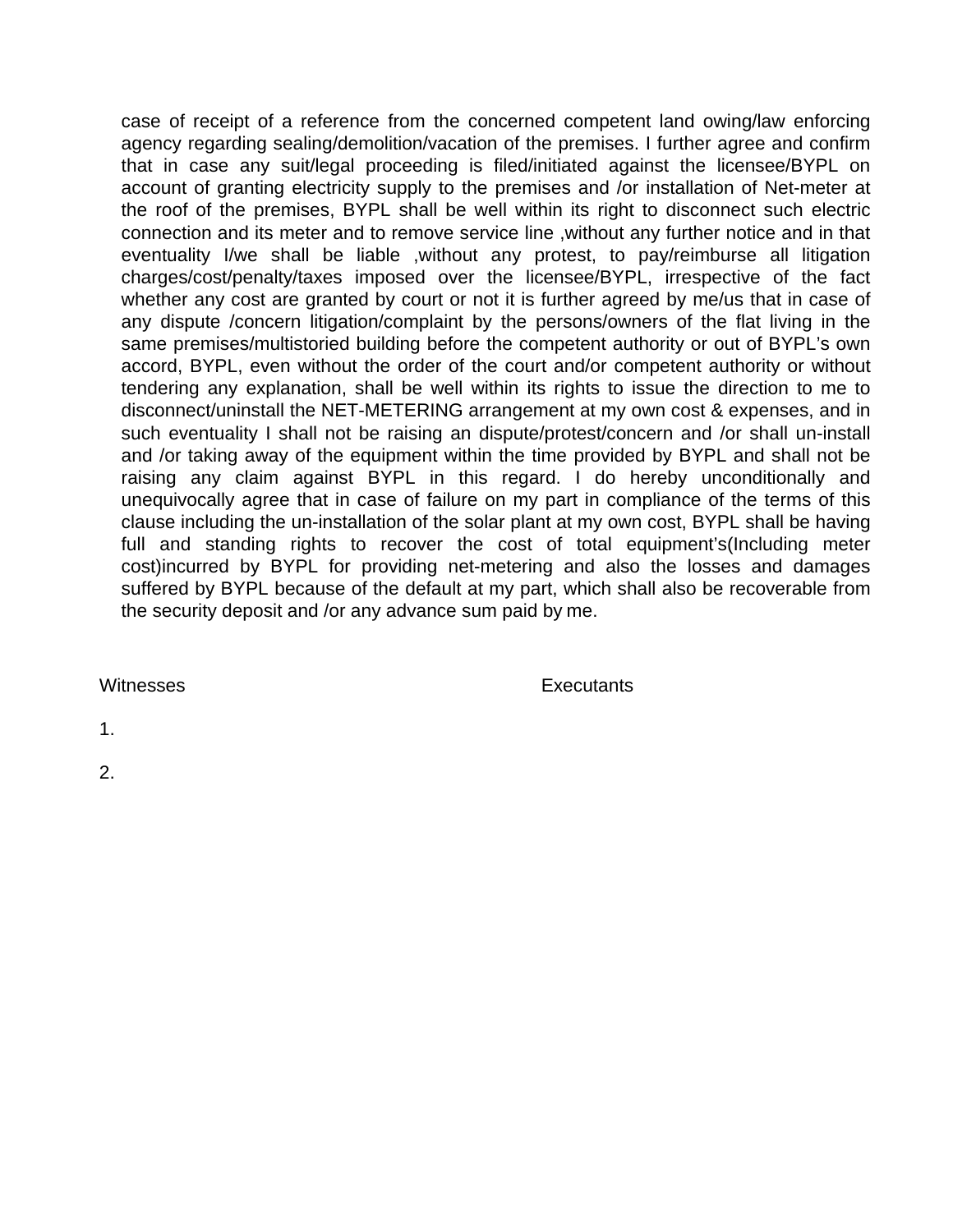case of receipt of a reference from the concerned competent land owing/law enforcing agency regarding sealing/demolition/vacation of the premises. I further agree and confirm that in case any suit/legal proceeding is filed/initiated against the licensee/BYPL on account of granting electricity supply to the premises and /or installation of Net-meter at the roof of the premises, BYPL shall be well within its right to disconnect such electric connection and its meter and to remove service line ,without any further notice and in that eventuality I/we shall be liable ,without any protest, to pay/reimburse all litigation charges/cost/penalty/taxes imposed over the licensee/BYPL, irrespective of the fact whether any cost are granted by court or not it is further agreed by me/us that in case of any dispute /concern litigation/complaint by the persons/owners of the flat living in the same premises/multistoried building before the competent authority or out of BYPL's own accord, BYPL, even without the order of the court and/or competent authority or without tendering any explanation, shall be well within its rights to issue the direction to me to disconnect/uninstall the NET-METERING arrangement at my own cost & expenses, and in such eventuality I shall not be raising an dispute/protest/concern and /or shall un-install and /or taking away of the equipment within the time provided by BYPL and shall not be raising any claim against BYPL in this regard. I do hereby unconditionally and unequivocally agree that in case of failure on my part in compliance of the terms of this clause including the un-installation of the solar plant at my own cost, BYPL shall be having full and standing rights to recover the cost of total equipment's(Including meter cost)incurred by BYPL for providing net-metering and also the losses and damages suffered by BYPL because of the default at my part, which shall also be recoverable from the security deposit and /or any advance sum paid by me.

Witnesses **Executants** 

1.

2.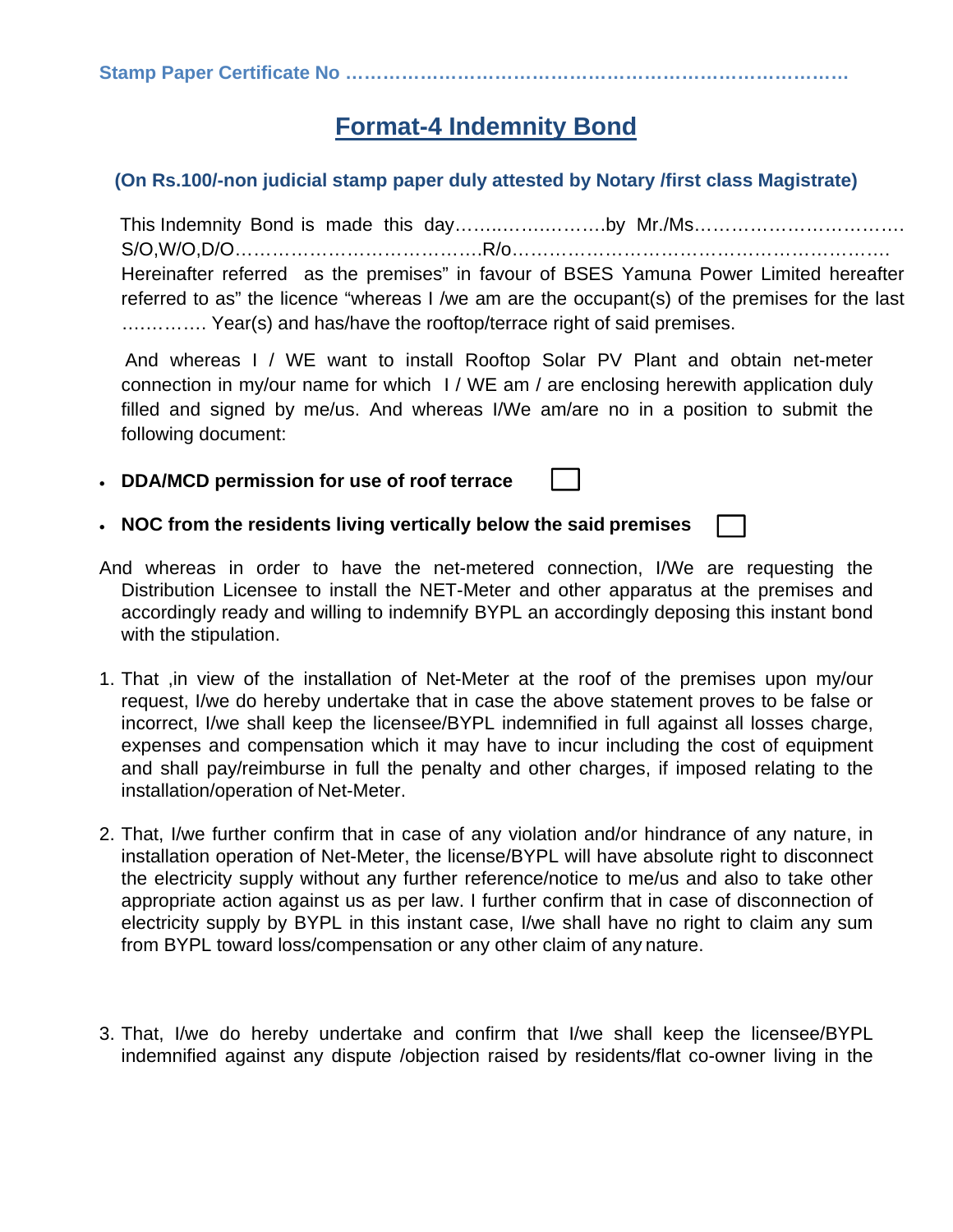# **Format-4 Indemnity Bond**

## **(On Rs.100/-non judicial stamp paper duly attested by Notary /first class Magistrate)**

 This Indemnity Bond is made this day……..…….……….by Mr./Ms……………………………. S/O,W/O,D/O………………………………….R/o……………………………………………………. Hereinafter referred as the premises" in favour of BSES Yamuna Power Limited hereafter referred to as" the licence "whereas I /we am are the occupant(s) of the premises for the last ….………. Year(s) and has/have the rooftop/terrace right of said premises.

 And whereas I / WE want to install Rooftop Solar PV Plant and obtain net-meter connection in my/our name for which I / WE am / are enclosing herewith application duly filled and signed by me/us. And whereas I/We am/are no in a position to submit the following document:

- **DDA/MCD permission for use of roof terrace**
- **NOC from the residents living vertically below the said premises**
- And whereas in order to have the net-metered connection, I/We are requesting the Distribution Licensee to install the NET-Meter and other apparatus at the premises and accordingly ready and willing to indemnify BYPL an accordingly deposing this instant bond with the stipulation.
- 1. That ,in view of the installation of Net-Meter at the roof of the premises upon my/our request, I/we do hereby undertake that in case the above statement proves to be false or incorrect, I/we shall keep the licensee/BYPL indemnified in full against all losses charge, expenses and compensation which it may have to incur including the cost of equipment and shall pay/reimburse in full the penalty and other charges, if imposed relating to the installation/operation of Net-Meter.
- 2. That, I/we further confirm that in case of any violation and/or hindrance of any nature, in installation operation of Net-Meter, the license/BYPL will have absolute right to disconnect the electricity supply without any further reference/notice to me/us and also to take other appropriate action against us as per law. I further confirm that in case of disconnection of electricity supply by BYPL in this instant case, I/we shall have no right to claim any sum from BYPL toward loss/compensation or any other claim of any nature.
- 3. That, I/we do hereby undertake and confirm that I/we shall keep the licensee/BYPL indemnified against any dispute /objection raised by residents/flat co-owner living in the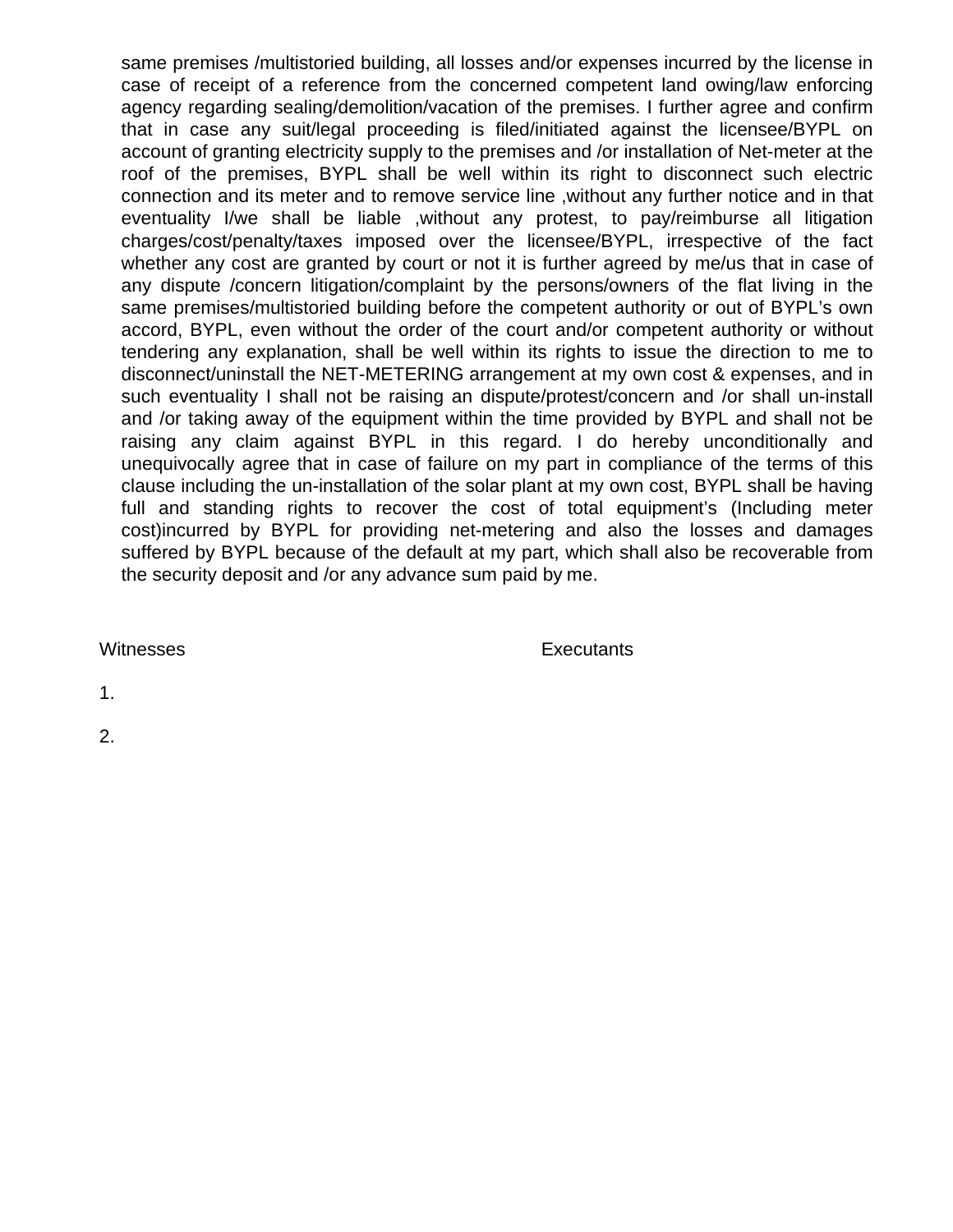same premises /multistoried building, all losses and/or expenses incurred by the license in case of receipt of a reference from the concerned competent land owing/law enforcing agency regarding sealing/demolition/vacation of the premises. I further agree and confirm that in case any suit/legal proceeding is filed/initiated against the licensee/BYPL on account of granting electricity supply to the premises and /or installation of Net-meter at the roof of the premises, BYPL shall be well within its right to disconnect such electric connection and its meter and to remove service line ,without any further notice and in that eventuality I/we shall be liable ,without any protest, to pay/reimburse all litigation charges/cost/penalty/taxes imposed over the licensee/BYPL, irrespective of the fact whether any cost are granted by court or not it is further agreed by me/us that in case of any dispute /concern litigation/complaint by the persons/owners of the flat living in the same premises/multistoried building before the competent authority or out of BYPL's own accord, BYPL, even without the order of the court and/or competent authority or without tendering any explanation, shall be well within its rights to issue the direction to me to disconnect/uninstall the NET-METERING arrangement at my own cost & expenses, and in such eventuality I shall not be raising an dispute/protest/concern and /or shall un-install and /or taking away of the equipment within the time provided by BYPL and shall not be raising any claim against BYPL in this regard. I do hereby unconditionally and unequivocally agree that in case of failure on my part in compliance of the terms of this clause including the un-installation of the solar plant at my own cost, BYPL shall be having full and standing rights to recover the cost of total equipment's (Including meter cost)incurred by BYPL for providing net-metering and also the losses and damages suffered by BYPL because of the default at my part, which shall also be recoverable from the security deposit and /or any advance sum paid by me.

Witnesses **Executants** 

1.

2.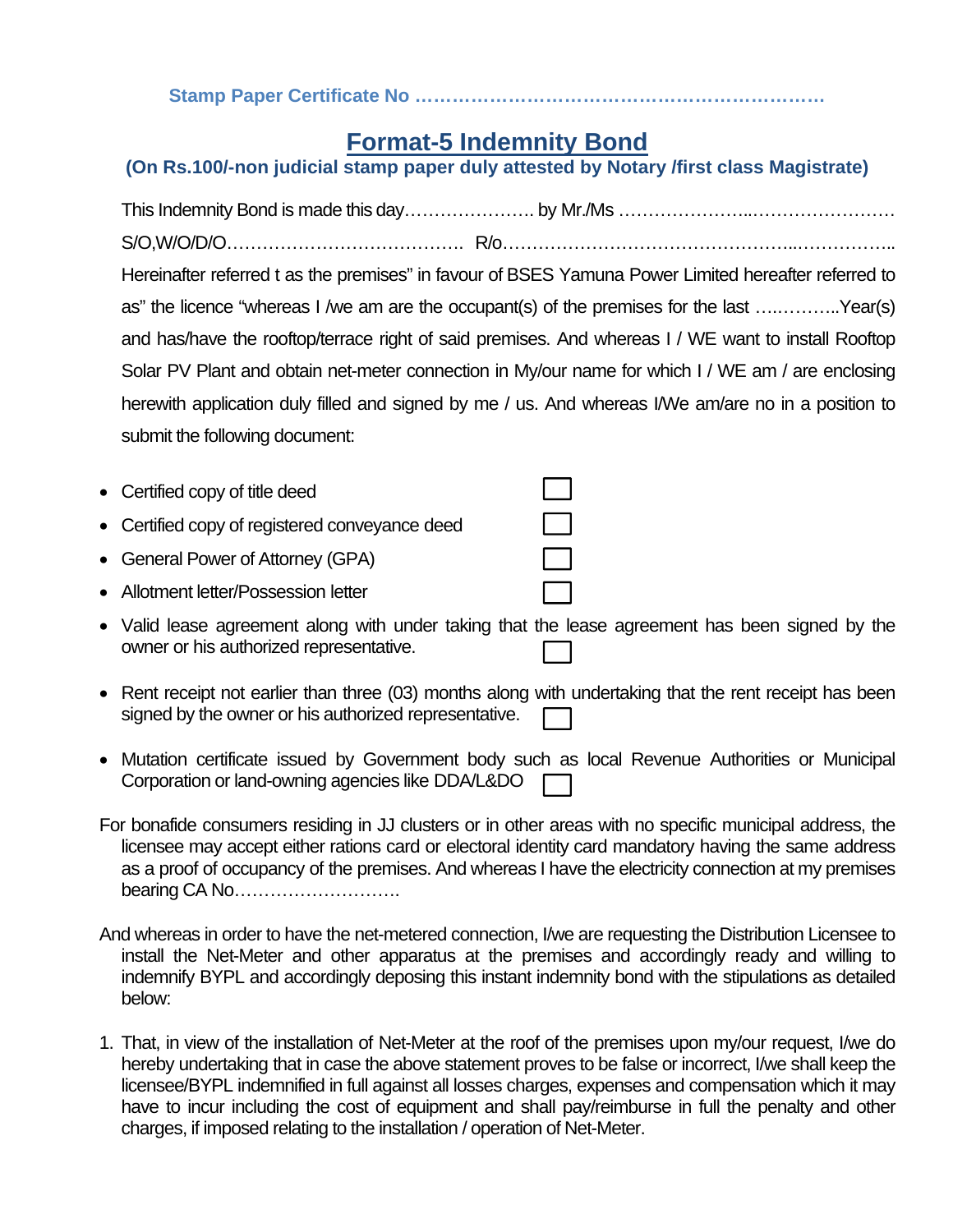**Stamp Paper Certificate No …………………………………………………………** 

# **Format-5 Indemnity Bond**

# **(On Rs.100/-non judicial stamp paper duly attested by Notary /first class Magistrate)**

| Hereinafter referred t as the premises" in favour of BSES Yamuna Power Limited hereafter referred to |
|------------------------------------------------------------------------------------------------------|
| as" the licence "whereas I /we am are the occupant(s) of the premises for the last Year(s)           |
| and has/have the rooftop/terrace right of said premises. And whereas I / WE want to install Rooftop  |
| Solar PV Plant and obtain net-meter connection in My/our name for which I / WE am / are enclosing    |
| herewith application duly filled and signed by me / us. And whereas I/We am/are no in a position to  |
| submit the following document:                                                                       |

| • Certified copy of title deed                 |  |
|------------------------------------------------|--|
| • Certified copy of registered conveyance deed |  |

- General Power of Attorney (GPA)
- Allotment letter/Possession letter
- Valid lease agreement along with under taking that the lease agreement has been signed by the owner or his authorized representative.
- Rent receipt not earlier than three (03) months along with undertaking that the rent receipt has been signed by the owner or his authorized representative.
- Mutation certificate issued by Government body such as local Revenue Authorities or Municipal Corporation or land-owning agencies like DDA/L&DO
- For bonafide consumers residing in JJ clusters or in other areas with no specific municipal address, the licensee may accept either rations card or electoral identity card mandatory having the same address as a proof of occupancy of the premises. And whereas I have the electricity connection at my premises bearing CA No……………………….
- And whereas in order to have the net-metered connection, I/we are requesting the Distribution Licensee to install the Net-Meter and other apparatus at the premises and accordingly ready and willing to indemnify BYPL and accordingly deposing this instant indemnity bond with the stipulations as detailed below:
- 1. That, in view of the installation of Net-Meter at the roof of the premises upon my/our request, I/we do hereby undertaking that in case the above statement proves to be false or incorrect, I/we shall keep the licensee/BYPL indemnified in full against all losses charges, expenses and compensation which it may have to incur including the cost of equipment and shall pay/reimburse in full the penalty and other charges, if imposed relating to the installation / operation of Net-Meter.